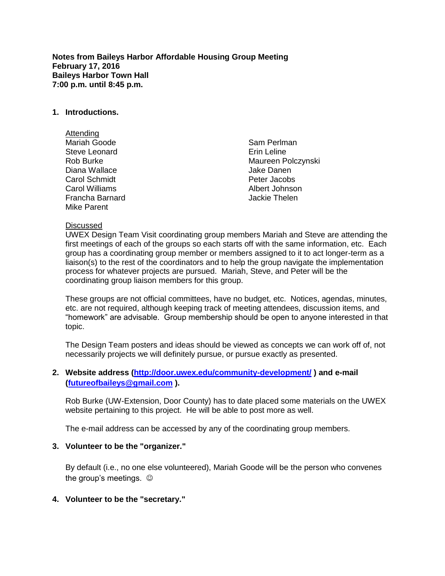**Notes from Baileys Harbor Affordable Housing Group Meeting February 17, 2016 Baileys Harbor Town Hall 7:00 p.m. until 8:45 p.m.**

#### **1. Introductions.**

Attending Mariah Goode Steve Leonard Rob Burke Diana Wallace Carol Schmidt Carol Williams Francha Barnard Mike Parent

Sam Perlman Erin Leline Maureen Polczynski Jake Danen Peter Jacobs Albert Johnson Jackie Thelen

#### **Discussed**

UWEX Design Team Visit coordinating group members Mariah and Steve are attending the first meetings of each of the groups so each starts off with the same information, etc. Each group has a coordinating group member or members assigned to it to act longer-term as a liaison(s) to the rest of the coordinators and to help the group navigate the implementation process for whatever projects are pursued. Mariah, Steve, and Peter will be the coordinating group liaison members for this group.

These groups are not official committees, have no budget, etc. Notices, agendas, minutes, etc. are not required, although keeping track of meeting attendees, discussion items, and "homework" are advisable. Group membership should be open to anyone interested in that topic.

The Design Team posters and ideas should be viewed as concepts we can work off of, not necessarily projects we will definitely pursue, or pursue exactly as presented.

### **2. Website address [\(http://door.uwex.edu/community-development/](http://door.uwex.edu/community-development/) ) and e-mail [\(futureofbaileys@gmail.com](mailto:futureofbaileys@gmail.com) ).**

Rob Burke (UW-Extension, Door County) has to date placed some materials on the UWEX website pertaining to this project. He will be able to post more as well.

The e-mail address can be accessed by any of the coordinating group members.

#### **3. Volunteer to be the "organizer."**

By default (i.e., no one else volunteered), Mariah Goode will be the person who convenes the group's meetings.

### **4. Volunteer to be the "secretary."**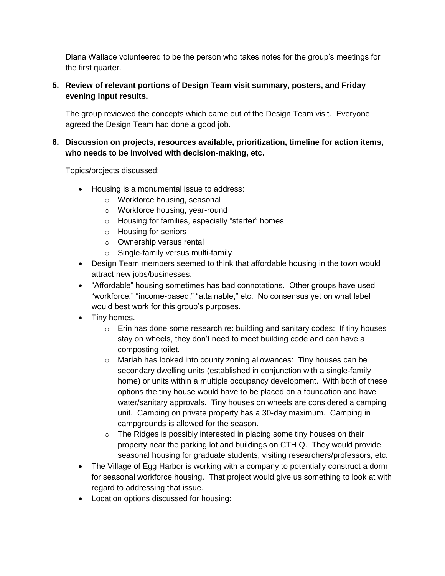Diana Wallace volunteered to be the person who takes notes for the group's meetings for the first quarter.

## **5. Review of relevant portions of Design Team visit summary, posters, and Friday evening input results.**

The group reviewed the concepts which came out of the Design Team visit. Everyone agreed the Design Team had done a good job.

## **6. Discussion on projects, resources available, prioritization, timeline for action items, who needs to be involved with decision-making, etc.**

Topics/projects discussed:

- Housing is a monumental issue to address:
	- o Workforce housing, seasonal
	- o Workforce housing, year-round
	- o Housing for families, especially "starter" homes
	- o Housing for seniors
	- o Ownership versus rental
	- o Single-family versus multi-family
- Design Team members seemed to think that affordable housing in the town would attract new jobs/businesses.
- "Affordable" housing sometimes has bad connotations. Other groups have used "workforce," "income-based," "attainable," etc. No consensus yet on what label would best work for this group's purposes.
- Tiny homes.
	- $\circ$  Erin has done some research re: building and sanitary codes: If tiny houses stay on wheels, they don't need to meet building code and can have a composting toilet.
	- o Mariah has looked into county zoning allowances: Tiny houses can be secondary dwelling units (established in conjunction with a single-family home) or units within a multiple occupancy development. With both of these options the tiny house would have to be placed on a foundation and have water/sanitary approvals. Tiny houses on wheels are considered a camping unit. Camping on private property has a 30-day maximum. Camping in campgrounds is allowed for the season.
	- o The Ridges is possibly interested in placing some tiny houses on their property near the parking lot and buildings on CTH Q. They would provide seasonal housing for graduate students, visiting researchers/professors, etc.
- The Village of Egg Harbor is working with a company to potentially construct a dorm for seasonal workforce housing. That project would give us something to look at with regard to addressing that issue.
- Location options discussed for housing: